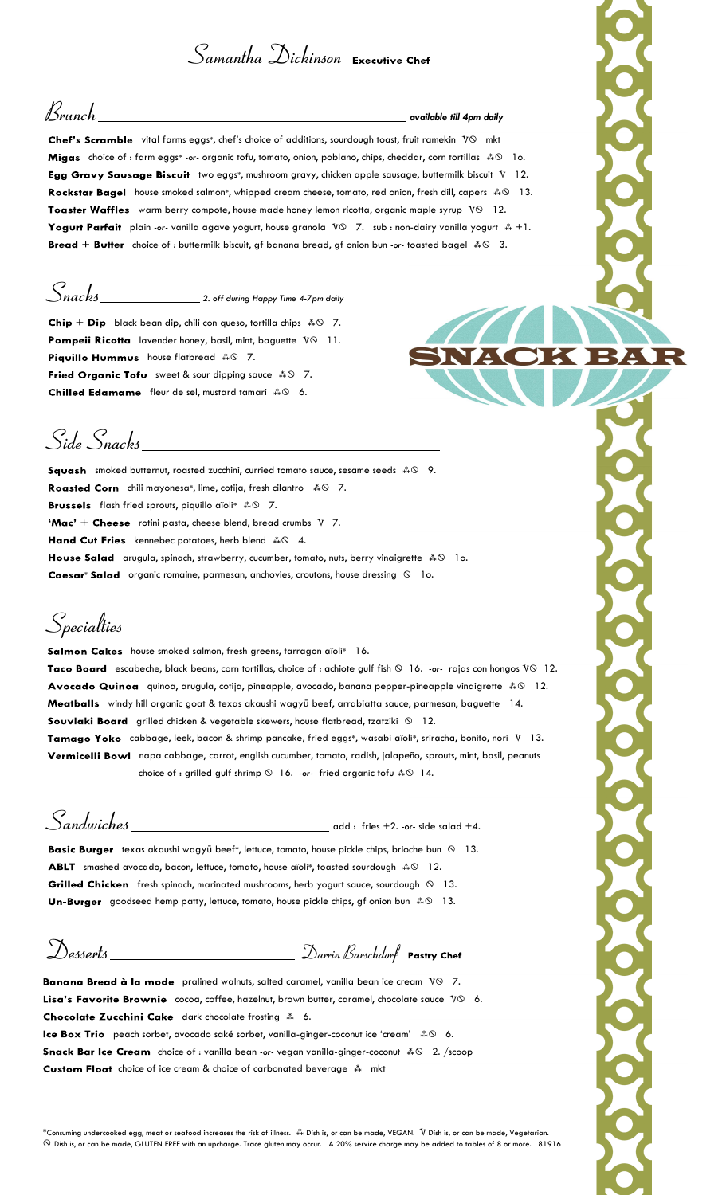## $S$ amantha  $\mathcal{D}$ ickinson Executive Chef

 ${\mathcal B}$ r $unch$   $\begin{array}{|l|} \hline \end{array}$ available till 4pm daily

Chef's Scramble vital farms eggs\*, chef's choice of additions, sourdough toast, fruit ramekin  $V\otimes$  mkt choice of : farm eggs\* -or- organic tofu, tomato, onion, poblano, chips, cheddar, corn tortillas  $\clubsuit \otimes$  lo. Egg Gravy Sausage Biscuit two eggs\*, mushroom gravy, chicken apple sausage, buttermilk biscuit V 12. house smoked salmon\*, whipped cream cheese, tomato, red onion, fresh dill, capers  $\clubsuit \otimes -13$ . Toaster Waffles warm berry compote, house made honey lemon ricotta, organic maple syrup  $V\otimes 12$ . plain -or- vanilla agave yogurt, house granola  $\sqrt{10}$  7. sub : non-dairy vanilla yogurt  $\sqrt[4]{*} + 1$ . choice of : buttermilk biscuit, gf banana bread, gf onion bun -or- toasted bagel  $\clubsuit \otimes -3$ .

# $S_{nacks}$  2. off during Happy Time 4-7pm daily

black bean dip, chili con queso, tortilla chips  $\sqrt[*]{\diamond}$  7. Pompeii Ricotta lavender honey, basil, mint, baguette VO 11. house flatbread  $\clubsuit \otimes$  7. sweet & sour dipping sauce  $\sqrt[k]{\ } 7.$ fleur de sel, mustard tamari  $\clubsuit \odot$  6.

KOBADR

Side Snacks

smoked butternut, roasted zucchini, curried tomato sauce, sesame seeds  $\textstyle\clubsuit\otimes$  9. chili mayonesa\*, lime, cotija, fresh cilantro  $\sqrt{*}$   $\odot$  7. flash fried sprouts, piquillo aïoli\*  $\ast\hspace{-1.5pt}\ast\hspace{-1.5pt}\circ\hspace{-1.5pt}\circ\hspace{-1.5pt} 7.$ **'Mac'** + Cheese rotini pasta, cheese blend, bread crumbs  $V$  7. kennebec potatoes, herb blend  $\sqrt{*} \otimes 4$ . arugula, spinach, strawberry, cucumber, tomato, nuts, berry vinaigrette  $\,\rm \clubsuit\otimes\,$  1o.

**Caesar\* Salad** organic romaine, parmesan, anchovies, croutons, house dressing  $\Omega$  1o.

Specialties\_

Salmon Cakes house smoked salmon, fresh greens, tarragon aïoli\* 16.

Taco Board escabeche, black beans, corn tortillas, choice of : achiote gulf fish  $\circ$  16. -or- rajas con hongos V $\circ$  12. quinoa, arugula, cotija, pineapple, avocado, banana pepper-pineapple vinaigrette - 12. Meatballs windy hill organic goat & texas akaushi wagyū beef, arrabiatta sauce, parmesan, baguette 14. Souvlaki Board grilled chicken & vegetable skewers, house flatbread, tzatziki  $\otimes$  12. Tamago Yoko cabbage, leek, bacon & shrimp pancake, fried eggs\*, wasabi aïoli\*, sriracha, bonito, nori V 13.

Vermicelli Bowl napa cabbage, carrot, english cucumber, tomato, radish, jalapeño, sprouts, mint, basil, peanuts choice of : grilled gulf shrimp  $\circledcirc$  16. -or- fried organic tofu  $\ast \circledast$  14.

 $S$ andwiches  $\frac{1}{1}$ 

Basic Burger texas akaushi wagyū beef\*, lettuce, tomato, house pickle chips, brioche bun  $\otimes$  13. smashed avocado, bacon, lettuce, tomato, house aïoli\*, toasted sourdough  $\ast \circ 12$ . Grilled Chicken fresh spinach, marinated mushrooms, herb yogurt sauce, sourdough  $\otimes$  13. goodseed hemp patty, lettuce, tomato, house pickle chips, gf onion bun  $\ast \mathbb{S}$  13.

Desserts \_\_\_\_\_\_\_\_\_\_\_\_\_\_\_\_\_\_\_\_\_\_\_\_\_\_\_ Darrin Barschdorf Pastry Chef

Banana Bread à la mode pralined walnuts, salted caramel, vanilla bean ice cream VO 7. Lisa's Favorite Brownie  $\cos \alpha$ , coffee, hazelnut, brown butter, caramel, chocolate sauce  $\nabla \otimes \delta$ . dark chocolate frosting  $\stackrel{*}{\ast}$  6. peach sorbet, avocado saké sorbet, vanilla-ginger-coconut ice 'cream'  $\ast \otimes$  6. choice of : vanilla bean -or- vegan vanilla-ginger-coconut  $\sqrt{*}$  2. /scoop

choice of ice cream & choice of carbonated beverage  $\stackrel{*}{\ast}$  mkt

\*Consuming undercooked egg, meat or seafood increases the risk of illness. 森 Dish is, or can be made, V Dish is, or can be made, Vegetarian. Dish is, or can be made, GLUTEN FREE with an upcharge. Trace gluten may occur. A 20% service charge may be added to tables of 8 or more. 81916